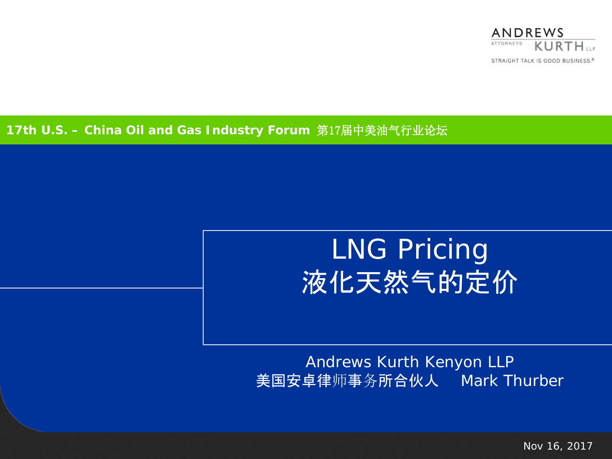

### **17th U.S. – China Oil and Gas Industry Forum** 第17届中美油气行业论坛

# LNG Pricing 液化天然气的定价

### Andrews Kurth Kenyon LLP 美国安卓律师事务所合伙人 Mark Thurber

Nov 16, 2017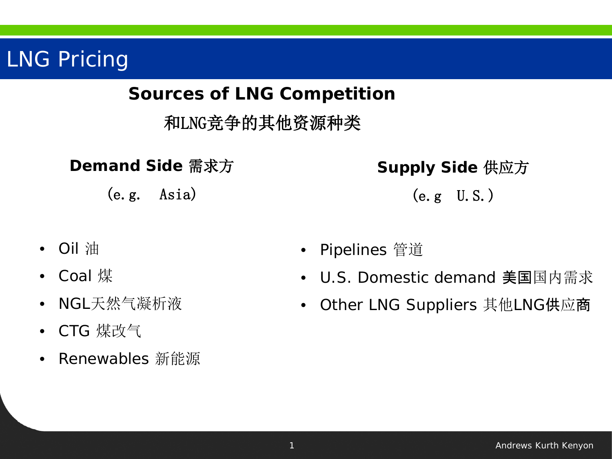## **Sources of LNG Competition**

和LNG竞争的其他资源种类

**Demand Side** 需求方

(e.g. Asia)

**Supply Side** 供应方 (e.g U.S.)

- Oil 油
- Coal 煤
- NGL天然气凝析液
- CTG 煤改气
- Renewables 新能源
- Pipelines 管道
- U.S. Domestic demand 美国国内需求
- Other LNG Suppliers 其他LNG供应商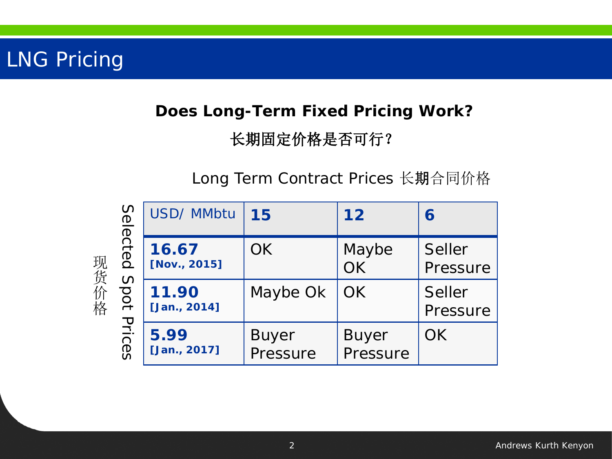## **Does Long-Term Fixed Pricing Work?** 长期固定价格是否可行?

Long Term Contract Prices 长期合同价格

| 现货价格 | Selected<br>Spot<br>Prices | USD/ MMbtu            | 15                       | 12                       | 6                  |
|------|----------------------------|-----------------------|--------------------------|--------------------------|--------------------|
|      |                            | 16.67<br>[Nov., 2015] | <b>OK</b>                | Maybe<br><b>OK</b>       | Seller<br>Pressure |
|      |                            | 11.90<br>[Jan., 2014] | Maybe Ok                 | <b>OK</b>                | Seller<br>Pressure |
|      |                            | 5.99<br>[Jan., 2017]  | <b>Buyer</b><br>Pressure | <b>Buyer</b><br>Pressure | <b>OK</b>          |

2 **Andrews Kurth Kenyon Andrews Kurth Kenyon**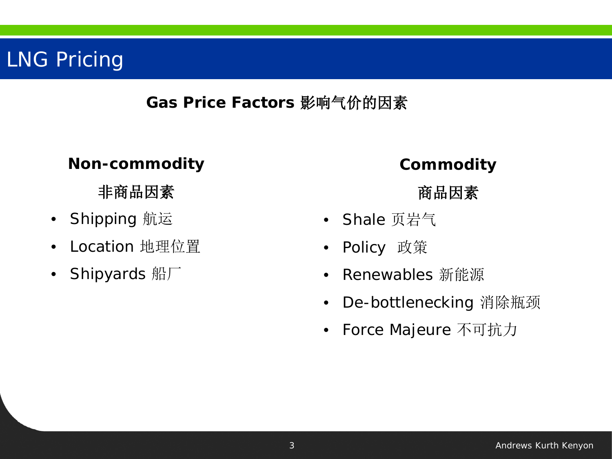## **Gas Price Factors** 影响气价的因素

### **Non-commodity**

## 非商品因素

- Shipping 航运
- Location 地理位置
- Shipyards 船厂

### **Commodity**

### 商品因素

- Shale 页岩气
- Policy 政策
- Renewables 新能源
- De-bottlenecking 消除瓶颈
- Force Majeure 不可抗力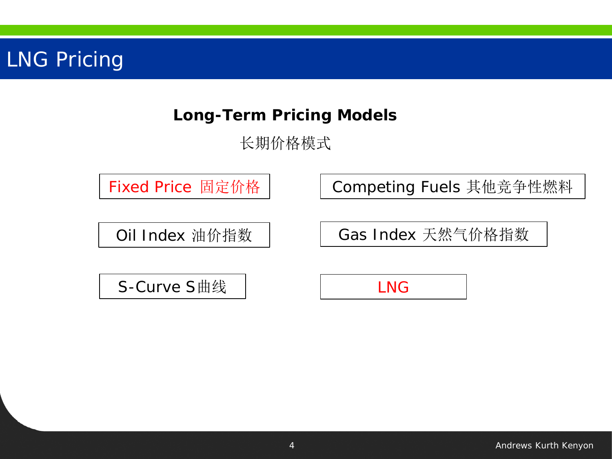## **Long-Term Pricing Models**

长期价格模式

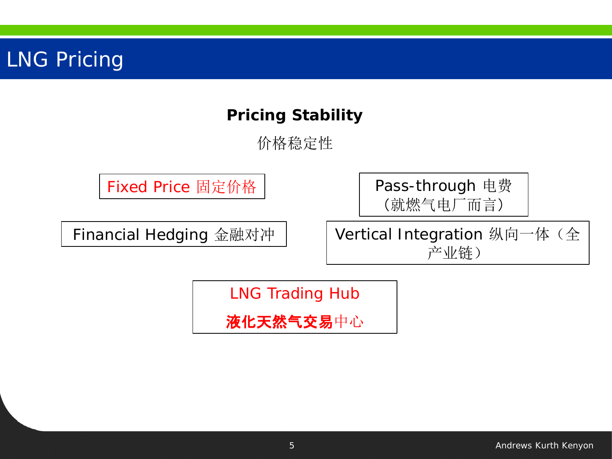## **Pricing Stability**

价格稳定性

Fixed Price 固定价格

Financial Hedging 金融对冲

Pass-through 电费 (就燃气电厂而言)

Vertical Integration 纵向一体(全 产业链)

LNG Trading Hub

液化天然气交易中心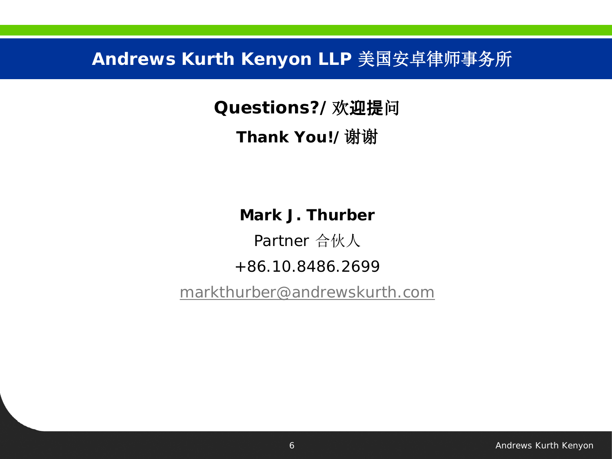**Andrews Kurth Kenyon LLP** 美国安卓律师事务所

**Questions?/**欢迎提问

**Thank You!/**谢谢

**Mark J. Thurber**

Partner 合伙人

### +86.10.8486.2699

[markthurber@andrewskurth.com](mailto:jerryli@andrewskurth.com)